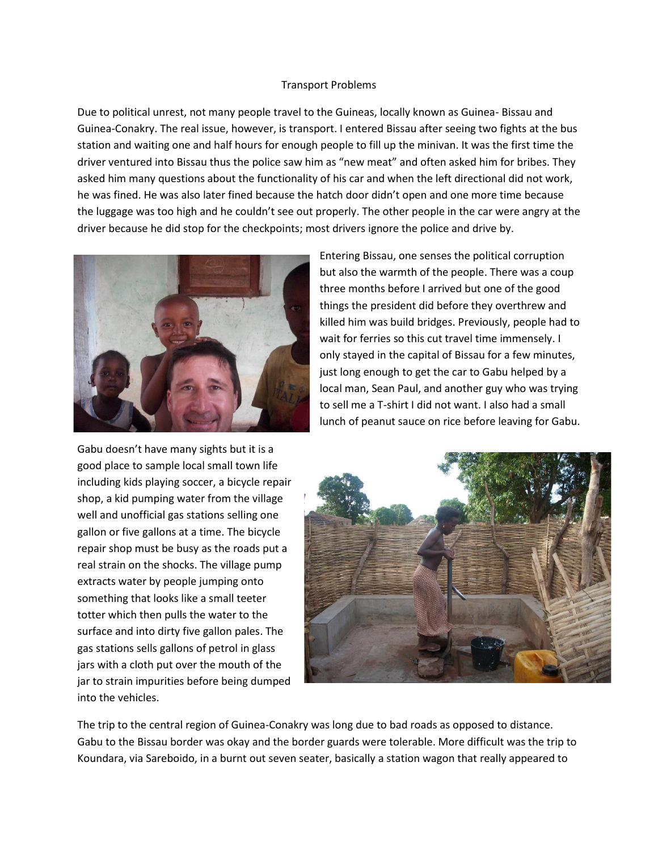## Transport Problems

Due to political unrest, not many people travel to the Guineas, locally known as Guinea- Bissau and Guinea-Conakry. The real issue, however, is transport. I entered Bissau after seeing two fights at the bus station and waiting one and half hours for enough people to fill up the minivan. It was the first time the driver ventured into Bissau thus the police saw him as "new meat" and often asked him for bribes. They asked him many questions about the functionality of his car and when the left directional did not work, he was fined. He was also later fined because the hatch door didn't open and one more time because the luggage was too high and he couldn't see out properly. The other people in the car were angry at the driver because he did stop for the checkpoints; most drivers ignore the police and drive by.



Entering Bissau, one senses the political corruption but also the warmth of the people. There was a coup three months before I arrived but one of the good things the president did before they overthrew and killed him was build bridges. Previously, people had to wait for ferries so this cut travel time immensely. I only stayed in the capital of Bissau for a few minutes, just long enough to get the car to Gabu helped by a local man, Sean Paul, and another guy who was trying to sell me a T-shirt I did not want. I also had a small lunch of peanut sauce on rice before leaving for Gabu.

Gabu doesn't have many sights but it is a good place to sample local small town life including kids playing soccer, a bicycle repair shop, a kid pumping water from the village well and unofficial gas stations selling one gallon or five gallons at a time. The bicycle repair shop must be busy as the roads put a real strain on the shocks. The village pump extracts water by people jumping onto something that looks like a small teeter totter which then pulls the water to the surface and into dirty five gallon pales. The gas stations sells gallons of petrol in glass jars with a cloth put over the mouth of the jar to strain impurities before being dumped into the vehicles.



The trip to the central region of Guinea-Conakry was long due to bad roads as opposed to distance. Gabu to the Bissau border was okay and the border guards were tolerable. More difficult was the trip to Koundara, via Sareboido, in a burnt out seven seater, basically a station wagon that really appeared to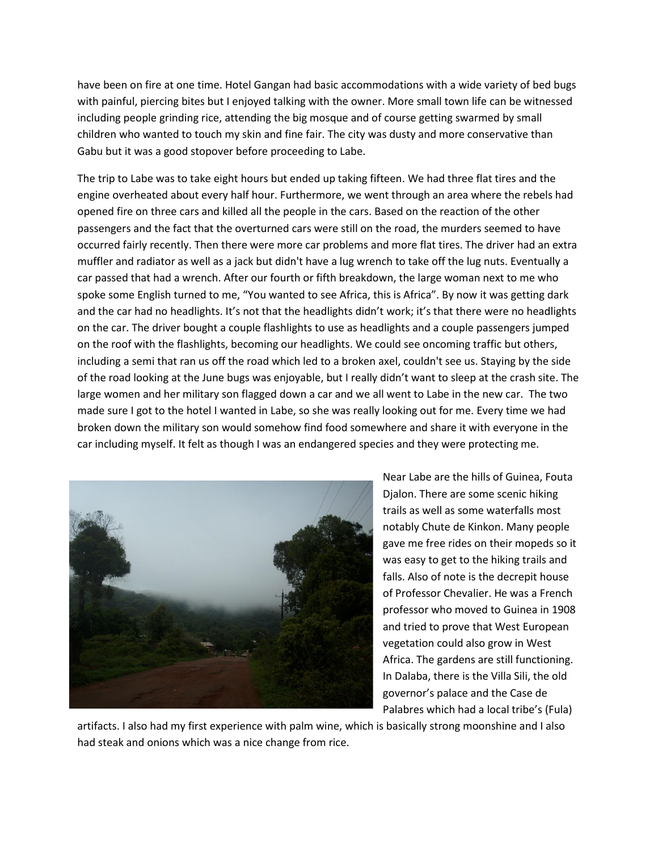have been on fire at one time. Hotel Gangan had basic accommodations with a wide variety of bed bugs with painful, piercing bites but I enjoyed talking with the owner. More small town life can be witnessed including people grinding rice, attending the big mosque and of course getting swarmed by small children who wanted to touch my skin and fine fair. The city was dusty and more conservative than Gabu but it was a good stopover before proceeding to Labe.

The trip to Labe was to take eight hours but ended up taking fifteen. We had three flat tires and the engine overheated about every half hour. Furthermore, we went through an area where the rebels had opened fire on three cars and killed all the people in the cars. Based on the reaction of the other passengers and the fact that the overturned cars were still on the road, the murders seemed to have occurred fairly recently. Then there were more car problems and more flat tires. The driver had an extra muffler and radiator as well as a jack but didn't have a lug wrench to take off the lug nuts. Eventually a car passed that had a wrench. After our fourth or fifth breakdown, the large woman next to me who spoke some English turned to me, "You wanted to see Africa, this is Africa". By now it was getting dark and the car had no headlights. It's not that the headlights didn't work; it's that there were no headlights on the car. The driver bought a couple flashlights to use as headlights and a couple passengers jumped on the roof with the flashlights, becoming our headlights. We could see oncoming traffic but others, including a semi that ran us off the road which led to a broken axel, couldn't see us. Staying by the side of the road looking at the June bugs was enjoyable, but I really didn't want to sleep at the crash site. The large women and her military son flagged down a car and we all went to Labe in the new car. The two made sure I got to the hotel I wanted in Labe, so she was really looking out for me. Every time we had broken down the military son would somehow find food somewhere and share it with everyone in the car including myself. It felt as though I was an endangered species and they were protecting me.



Near Labe are the hills of Guinea, Fouta Djalon. There are some scenic hiking trails as well as some waterfalls most notably Chute de Kinkon. Many people gave me free rides on their mopeds so it was easy to get to the hiking trails and falls. Also of note is the decrepit house of Professor Chevalier. He was a French professor who moved to Guinea in 1908 and tried to prove that West European vegetation could also grow in West Africa. The gardens are still functioning. In Dalaba, there is the Villa Sili, the old governor's palace and the Case de Palabres which had a local tribe's (Fula)

artifacts. I also had my first experience with palm wine, which is basically strong moonshine and I also had steak and onions which was a nice change from rice.